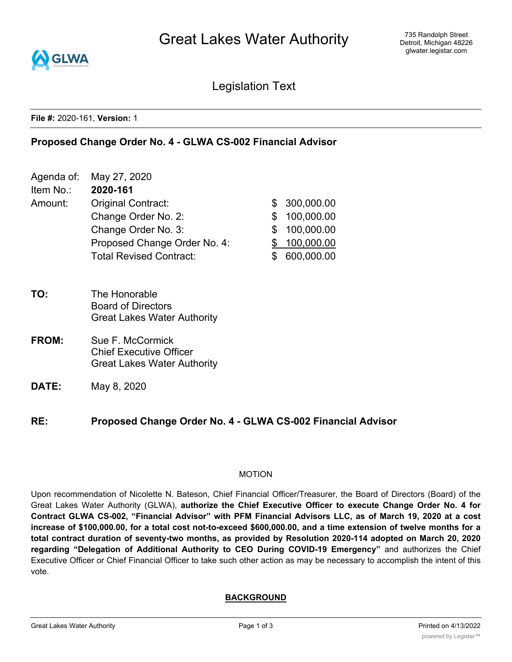

Legislation Text

#### **File #:** 2020-161, **Version:** 1

### **Proposed Change Order No. 4 - GLWA CS-002 Financial Advisor**

- Agenda of: May 27, 2020 Item No.: **2020-161** Amount: Original Contract:  $\qquad$  \$ 300,000.00 Change Order No. 2: \$ 100,000.00 Change Order No. 3: \$ 100,000.00 Proposed Change Order No. 4: \$ 100,000.00 Total Revised Contract:  $$600,000.00$
- **TO:** The Honorable Board of Directors Great Lakes Water Authority
- **FROM:** Sue F. McCormick Chief Executive Officer Great Lakes Water Authority
- **DATE:** May 8, 2020

**RE: Proposed Change Order No. 4 - GLWA CS-002 Financial Advisor**

#### MOTION

Upon recommendation of Nicolette N. Bateson, Chief Financial Officer/Treasurer, the Board of Directors (Board) of the Great Lakes Water Authority (GLWA), **authorize the Chief Executive Officer to execute Change Order No. 4 for** Contract GLWA CS-002, "Financial Advisor" with PFM Financial Advisors LLC, as of March 19, 2020 at a cost increase of \$100,000.00, for a total cost not-to-exceed \$600,000.00, and a time extension of twelve months for a **total contract duration of seventy-two months, as provided by Resolution 2020-114 adopted on March 20, 2020 regarding "Delegation of Additional Authority to CEO During COVID-19 Emergency"** and authorizes the Chief Executive Officer or Chief Financial Officer to take such other action as may be necessary to accomplish the intent of this vote.

### **BACKGROUND**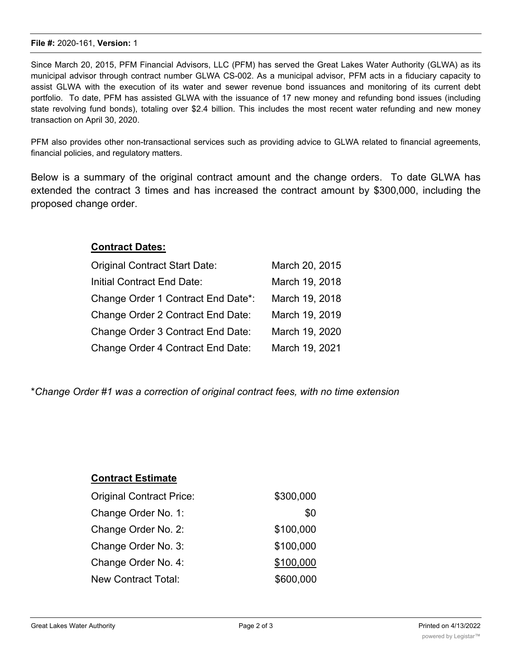#### **File #:** 2020-161, **Version:** 1

Since March 20, 2015, PFM Financial Advisors, LLC (PFM) has served the Great Lakes Water Authority (GLWA) as its municipal advisor through contract number GLWA CS-002. As a municipal advisor, PFM acts in a fiduciary capacity to assist GLWA with the execution of its water and sewer revenue bond issuances and monitoring of its current debt portfolio. To date, PFM has assisted GLWA with the issuance of 17 new money and refunding bond issues (including state revolving fund bonds), totaling over \$2.4 billion. This includes the most recent water refunding and new money transaction on April 30, 2020.

PFM also provides other non-transactional services such as providing advice to GLWA related to financial agreements, financial policies, and regulatory matters.

Below is a summary of the original contract amount and the change orders. To date GLWA has extended the contract 3 times and has increased the contract amount by \$300,000, including the proposed change order.

# **Contract Dates:**

| Original Contract Start Date:      | March 20, 2015 |
|------------------------------------|----------------|
| Initial Contract End Date:         | March 19, 2018 |
| Change Order 1 Contract End Date*: | March 19, 2018 |
| Change Order 2 Contract End Date:  | March 19, 2019 |
| Change Order 3 Contract End Date:  | March 19, 2020 |
| Change Order 4 Contract End Date:  | March 19, 2021 |

\**Change Order #1 was a correction of original contract fees, with no time extension*

| <b>Contract Estimate</b>        |           |
|---------------------------------|-----------|
| <b>Original Contract Price:</b> | \$300,000 |
| Change Order No. 1:             | \$0       |
| Change Order No. 2:             | \$100,000 |
| Change Order No. 3:             | \$100,000 |
| Change Order No. 4:             | \$100,000 |
| New Contract Total:             | \$600,000 |